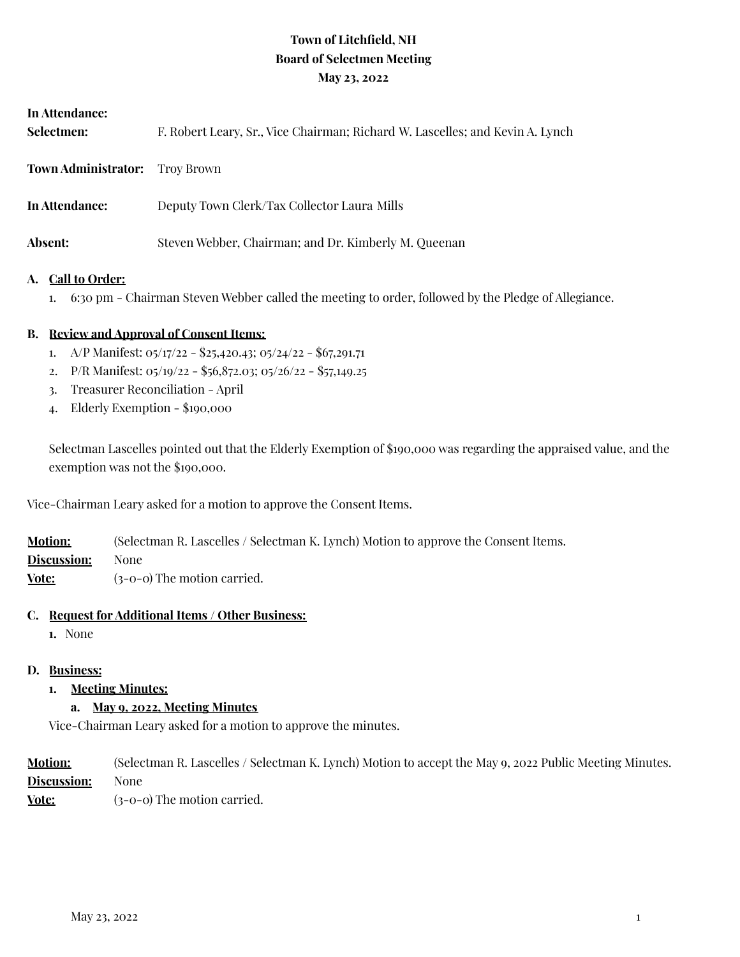# **Town of Litchfield, NH Board of Selectmen Meeting May 23, 2022**

| In Attendance:<br>Selectmen: | F. Robert Leary, Sr., Vice Chairman; Richard W. Lascelles; and Kevin A. Lynch |
|------------------------------|-------------------------------------------------------------------------------|
| <b>Town Administrator:</b>   | Trov Brown                                                                    |
| In Attendance:               | Deputy Town Clerk/Tax Collector Laura Mills                                   |
| Absent:                      | Steven Webber, Chairman; and Dr. Kimberly M. Queenan                          |

#### **A. Call to Order:**

1. 6:30 pm - Chairman Steven Webber called the meeting to order, followed by the Pledge of Allegiance.

#### **B. Review and Approval of Consent Items:**

- 1. A/P Manifest: 05/17/22 \$25,420.43; 05/24/22 \$67,291.71
- 2. P/R Manifest: 05/19/22 \$56,872.03; 05/26/22 \$57,149.25
- 3. Treasurer Reconciliation April
- 4. Elderly Exemption \$190,000

Selectman Lascelles pointed out that the Elderly Exemption of \$190,000 was regarding the appraised value, and the exemption was not the \$190,000.

Vice-Chairman Leary asked for a motion to approve the Consent Items.

| <b>Motion:</b> | (Selectman R. Lascelles / Selectman K. Lynch) Motion to approve the Consent Items. |
|----------------|------------------------------------------------------------------------------------|
| Discussion:    | None                                                                               |
| Vote:          | $(3-0-0)$ The motion carried.                                                      |

#### **C. Request for Additional Items / Other Business:**

**1.** None

#### **D. Business:**

**1. Meeting Minutes:**

#### **a. May 9, 2022, Meeting Minutes**

Vice-Chairman Leary asked for a motion to approve the minutes.

| <b>Motion:</b> | (Selectman R. Lascelles / Selectman K. Lynch) Motion to accept the May 9, 2022 Public Meeting Minutes. |
|----------------|--------------------------------------------------------------------------------------------------------|
| Discussion:    | None                                                                                                   |
| Vote:          | $(3-0-0)$ The motion carried.                                                                          |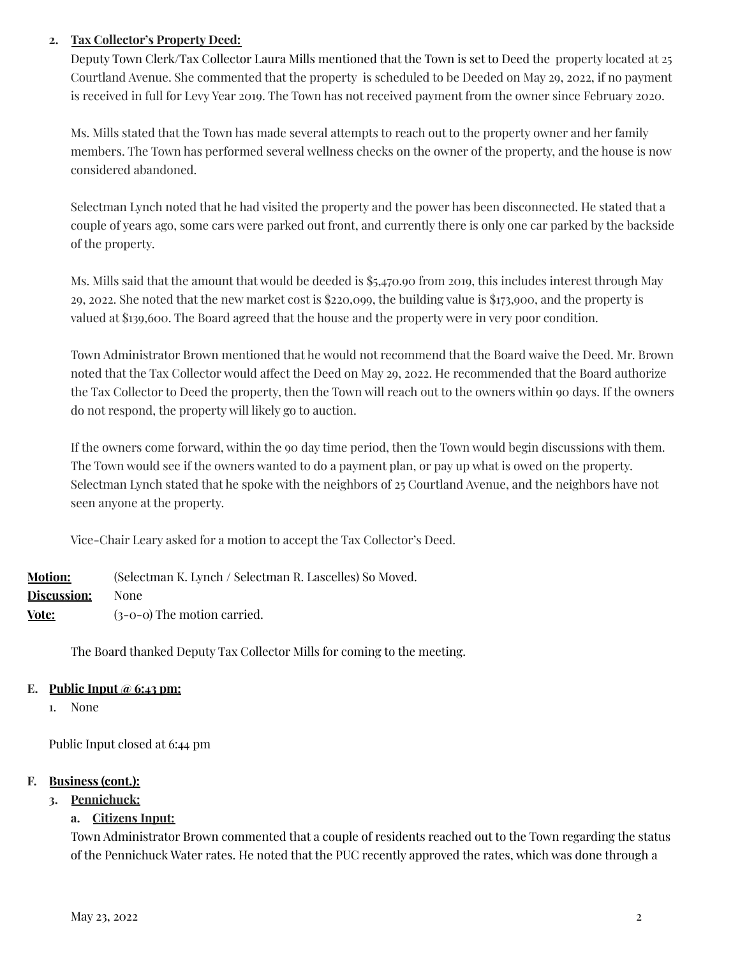### **2. Tax Collector's Property Deed:**

Deputy Town Clerk/Tax Collector Laura Mills mentioned that the Town is set to Deed the property located at 25 Courtland Avenue. She commented that the property is scheduled to be Deeded on May 29, 2022, if no payment is received in full for Levy Year 2019. The Town has not received payment from the owner since February 2020.

Ms. Mills stated that the Town has made several attempts to reach out to the property owner and her family members. The Town has performed several wellness checks on the owner of the property, and the house is now considered abandoned.

Selectman Lynch noted that he had visited the property and the power has been disconnected. He stated that a couple of years ago, some cars were parked out front, and currently there is only one car parked by the backside of the property.

Ms. Mills said that the amount that would be deeded is \$5,470.90 from 2019, this includes interest through May 29, 2022. She noted that the new market cost is \$220,099, the building value is \$173,900, and the property is valued at \$139,600. The Board agreed that the house and the property were in very poor condition.

Town Administrator Brown mentioned that he would not recommend that the Board waive the Deed. Mr. Brown noted that the Tax Collector would affect the Deed on May 29, 2022. He recommended that the Board authorize the Tax Collector to Deed the property, then the Town will reach out to the owners within 90 days. If the owners do not respond, the property will likely go to auction.

If the owners come forward, within the 90 day time period, then the Town would begin discussions with them. The Town would see if the owners wanted to do a payment plan, or pay up what is owed on the property. Selectman Lynch stated that he spoke with the neighbors of 25 Courtland Avenue, and the neighbors have not seen anyone at the property.

Vice-Chair Leary asked for a motion to accept the Tax Collector's Deed.

| <b>Motion:</b>     | (Selectman K. Lynch / Selectman R. Lascelles) So Moved. |
|--------------------|---------------------------------------------------------|
| <b>Discussion:</b> | None                                                    |
| Vote:              | $(3-0-0)$ The motion carried.                           |

The Board thanked Deputy Tax Collector Mills for coming to the meeting.

### **E. Public Input @ 6:43 pm:**

1. None

Public Input closed at 6:44 pm

### **F. Business (cont.):**

**3. Pennichuck:**

### **a. Citizens Input:**

Town Administrator Brown commented that a couple of residents reached out to the Town regarding the status of the Pennichuck Water rates. He noted that the PUC recently approved the rates, which was done through a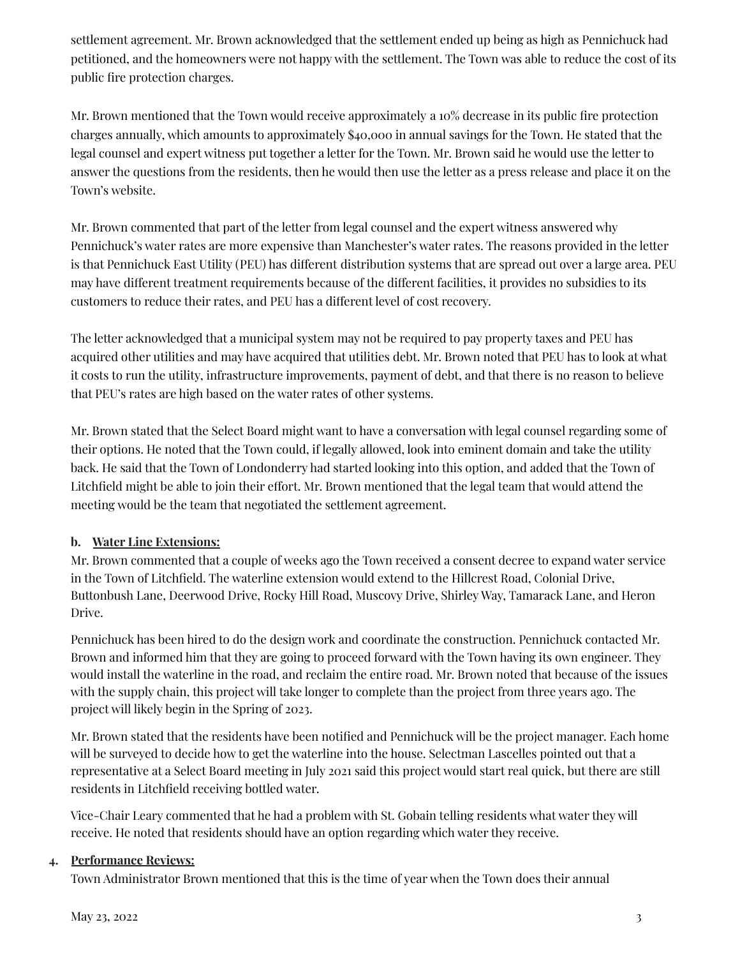settlement agreement. Mr. Brown acknowledged that the settlement ended up being as high as Pennichuck had petitioned, and the homeowners were not happy with the settlement. The Town was able to reduce the cost of its public fire protection charges.

Mr. Brown mentioned that the Town would receive approximately a 10% decrease in its public fire protection charges annually, which amounts to approximately \$40,000 in annual savings for the Town. He stated that the legal counsel and expert witness put together a letter for the Town. Mr. Brown said he would use the letter to answer the questions from the residents, then he would then use the letter as a press release and place it on the Town's website.

Mr. Brown commented that part of the letter from legal counsel and the expert witness answered why Pennichuck's water rates are more expensive than Manchester's water rates. The reasons provided in the letter is that Pennichuck East Utility (PEU) has different distribution systems that are spread out over a large area. PEU may have different treatment requirements because of the different facilities, it provides no subsidies to its customers to reduce their rates, and PEU has a different level of cost recovery.

The letter acknowledged that a municipal system may not be required to pay property taxes and PEU has acquired other utilities and may have acquired that utilities debt. Mr. Brown noted that PEU has to look at what it costs to run the utility, infrastructure improvements, payment of debt, and that there is no reason to believe that PEU's rates are high based on the water rates of other systems.

Mr. Brown stated that the Select Board might want to have a conversation with legal counsel regarding some of their options. He noted that the Town could, if legally allowed, look into eminent domain and take the utility back. He said that the Town of Londonderry had started looking into this option, and added that the Town of Litchfield might be able to join their effort. Mr. Brown mentioned that the legal team that would attend the meeting would be the team that negotiated the settlement agreement.

# **b. Water Line Extensions:**

Mr. Brown commented that a couple of weeks ago the Town received a consent decree to expand water service in the Town of Litchfield. The waterline extension would extend to the Hillcrest Road, Colonial Drive, Buttonbush Lane, Deerwood Drive, Rocky Hill Road, Muscovy Drive, Shirley Way, Tamarack Lane, and Heron Drive.

Pennichuck has been hired to do the design work and coordinate the construction. Pennichuck contacted Mr. Brown and informed him that they are going to proceed forward with the Town having its own engineer. They would install the waterline in the road, and reclaim the entire road. Mr. Brown noted that because of the issues with the supply chain, this project will take longer to complete than the project from three years ago. The project will likely begin in the Spring of 2023.

Mr. Brown stated that the residents have been notified and Pennichuck will be the project manager. Each home will be surveyed to decide how to get the waterline into the house. Selectman Lascelles pointed out that a representative at a Select Board meeting in July 2021 said this project would start real quick, but there are still residents in Litchfield receiving bottled water.

Vice-Chair Leary commented that he had a problem with St. Gobain telling residents what water they will receive. He noted that residents should have an option regarding which water they receive.

### **4. Performance Reviews:**

Town Administrator Brown mentioned that this is the time of year when the Town does their annual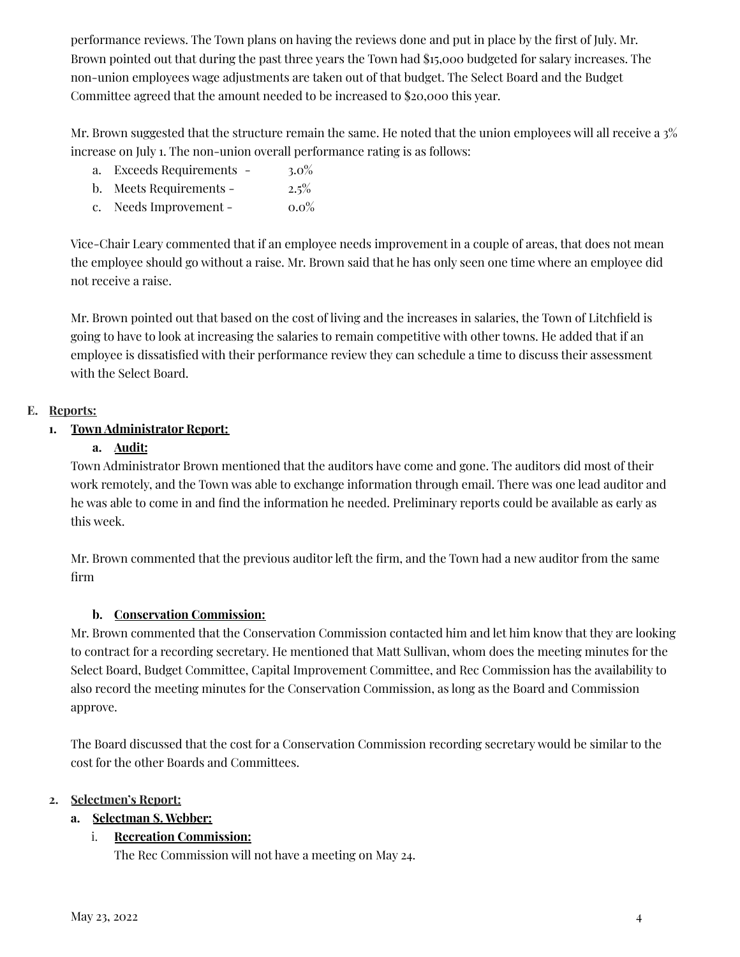performance reviews. The Town plans on having the reviews done and put in place by the first of July. Mr. Brown pointed out that during the past three years the Town had \$15,000 budgeted for salary increases. The non-union employees wage adjustments are taken out of that budget. The Select Board and the Budget Committee agreed that the amount needed to be increased to \$20,000 this year.

Mr. Brown suggested that the structure remain the same. He noted that the union employees will all receive a 3% increase on July 1. The non-union overall performance rating is as follows:

- a. Exceeds Requirements 3.0%
- b. Meets Requirements 2.5%
- c. Needs Improvement  $0.0\%$

Vice-Chair Leary commented that if an employee needs improvement in a couple of areas, that does not mean the employee should go without a raise. Mr. Brown said that he has only seen one time where an employee did not receive a raise.

Mr. Brown pointed out that based on the cost of living and the increases in salaries, the Town of Litchfield is going to have to look at increasing the salaries to remain competitive with other towns. He added that if an employee is dissatisfied with their performance review they can schedule a time to discuss their assessment with the Select Board.

# **E. Reports:**

# **1. Town Administrator Report:**

# **a. Audit:**

Town Administrator Brown mentioned that the auditors have come and gone. The auditors did most of their work remotely, and the Town was able to exchange information through email. There was one lead auditor and he was able to come in and find the information he needed. Preliminary reports could be available as early as this week.

Mr. Brown commented that the previous auditor left the firm, and the Town had a new auditor from the same firm

# **b. Conservation Commission:**

Mr. Brown commented that the Conservation Commission contacted him and let him know that they are looking to contract for a recording secretary. He mentioned that Matt Sullivan, whom does the meeting minutes for the Select Board, Budget Committee, Capital Improvement Committee, and Rec Commission has the availability to also record the meeting minutes for the Conservation Commission, as long as the Board and Commission approve.

The Board discussed that the cost for a Conservation Commission recording secretary would be similar to the cost for the other Boards and Committees.

### **2. Selectmen's Report:**

# **a. Selectman S. Webber:**

# i. **Recreation Commission:**

The Rec Commission will not have a meeting on May 24.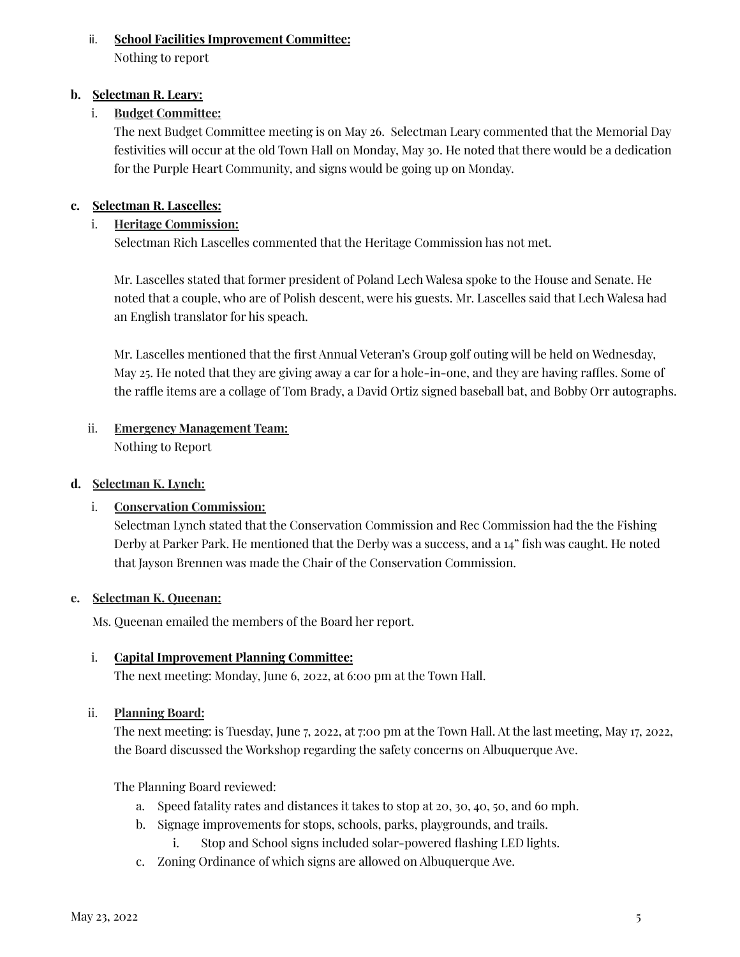### ii. **School Facilities Improvement Committee:**

Nothing to report

### **b. Selectman R. Leary:**

### i. **Budget Committee:**

The next Budget Committee meeting is on May 26. Selectman Leary commented that the Memorial Day festivities will occur at the old Town Hall on Monday, May 30. He noted that there would be a dedication for the Purple Heart Community, and signs would be going up on Monday.

### **c. Selectman R. Lascelles:**

### i. **Heritage Commission:**

Selectman Rich Lascelles commented that the Heritage Commission has not met.

Mr. Lascelles stated that former president of Poland Lech Walesa spoke to the House and Senate. He noted that a couple, who are of Polish descent, were his guests. Mr. Lascelles said that Lech Walesa had an English translator for his speach.

Mr. Lascelles mentioned that the first Annual Veteran's Group golf outing will be held on Wednesday, May 25. He noted that they are giving away a car for a hole-in-one, and they are having raffles. Some of the raffle items are a collage of Tom Brady, a David Ortiz signed baseball bat, and Bobby Orr autographs.

### ii. **Emergency Management Team:** Nothing to Report

### **d. Selectman K. Lynch:**

### i. **Conservation Commission:**

Selectman Lynch stated that the Conservation Commission and Rec Commission had the the Fishing Derby at Parker Park. He mentioned that the Derby was a success, and a 14" fish was caught. He noted that Jayson Brennen was made the Chair of the Conservation Commission.

### **e. Selectman K. Queenan:**

Ms. Queenan emailed the members of the Board her report.

### i. **Capital Improvement Planning Committee:**

The next meeting: Monday, June 6, 2022, at 6:00 pm at the Town Hall.

### ii. **Planning Board:**

The next meeting: is Tuesday, June 7, 2022, at 7:00 pm at the Town Hall. At the last meeting, May 17, 2022, the Board discussed the Workshop regarding the safety concerns on Albuquerque Ave.

The Planning Board reviewed:

- a. Speed fatality rates and distances it takes to stop at 20, 30, 40, 50, and 60 mph.
- b. Signage improvements for stops, schools, parks, playgrounds, and trails.
	- i. Stop and School signs included solar-powered flashing LED lights.
- c. Zoning Ordinance of which signs are allowed on Albuquerque Ave.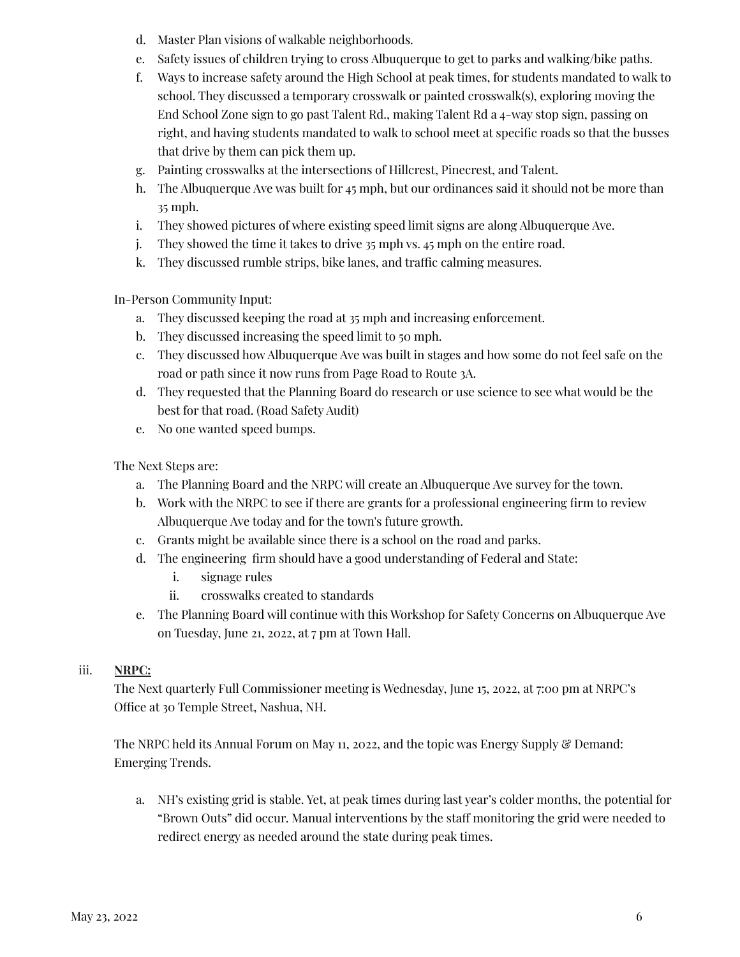- d. Master Plan visions of walkable neighborhoods.
- e. Safety issues of children trying to cross Albuquerque to get to parks and walking/bike paths.
- f. Ways to increase safety around the High School at peak times, for students mandated to walk to school. They discussed a temporary crosswalk or painted crosswalk(s), exploring moving the End School Zone sign to go past Talent Rd., making Talent Rd a 4-way stop sign, passing on right, and having students mandated to walk to school meet at specific roads so that the busses that drive by them can pick them up.
- g. Painting crosswalks at the intersections of Hillcrest, Pinecrest, and Talent.
- h. The Albuquerque Ave was built for 45 mph, but our ordinances said it should not be more than 35 mph.
- i. They showed pictures of where existing speed limit signs are along Albuquerque Ave.
- j. They showed the time it takes to drive 35 mph vs. 45 mph on the entire road.
- k. They discussed rumble strips, bike lanes, and traffic calming measures.

In-Person Community Input:

- a. They discussed keeping the road at 35 mph and increasing enforcement.
- b. They discussed increasing the speed limit to 50 mph.
- c. They discussed how Albuquerque Ave was built in stages and how some do not feel safe on the road or path since it now runs from Page Road to Route 3A.
- d. They requested that the Planning Board do research or use science to see what would be the best for that road. (Road Safety Audit)
- e. No one wanted speed bumps.

The Next Steps are:

- a. The Planning Board and the NRPC will create an Albuquerque Ave survey for the town.
- b. Work with the NRPC to see if there are grants for a professional engineering firm to review Albuquerque Ave today and for the town's future growth.
- c. Grants might be available since there is a school on the road and parks.
- d. The engineering firm should have a good understanding of Federal and State:
	- i. signage rules
	- ii. crosswalks created to standards
- e. The Planning Board will continue with this Workshop for Safety Concerns on Albuquerque Ave on Tuesday, June 21, 2022, at 7 pm at Town Hall.

# iii. **NRPC:**

The Next quarterly Full Commissioner meeting is Wednesday, June 15, 2022, at 7:00 pm at NRPC's Office at 30 Temple Street, Nashua, NH.

The NRPC held its Annual Forum on May 11, 2022, and the topic was Energy Supply & Demand: Emerging Trends.

a. NH's existing grid is stable. Yet, at peak times during last year's colder months, the potential for "Brown Outs" did occur. Manual interventions by the staff monitoring the grid were needed to redirect energy as needed around the state during peak times.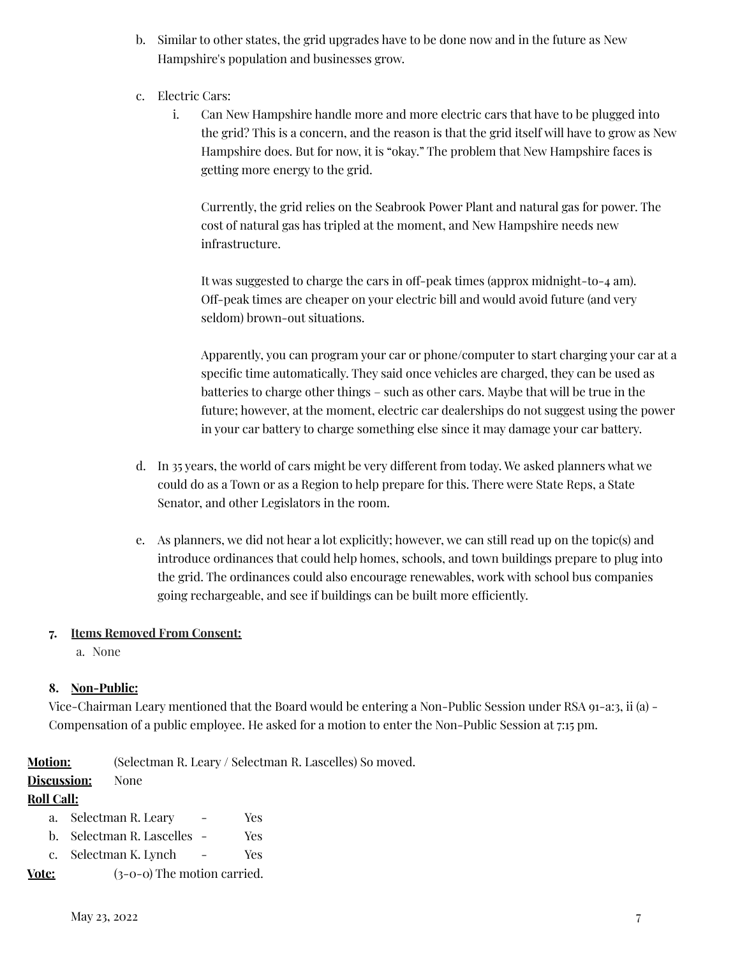- b. Similar to other states, the grid upgrades have to be done now and in the future as New Hampshire's population and businesses grow.
- c. Electric Cars:
	- i. Can New Hampshire handle more and more electric cars that have to be plugged into the grid? This is a concern, and the reason is that the grid itself will have to grow as New Hampshire does. But for now, it is "okay." The problem that New Hampshire faces is getting more energy to the grid.

Currently, the grid relies on the Seabrook Power Plant and natural gas for power. The cost of natural gas has tripled at the moment, and New Hampshire needs new infrastructure.

It was suggested to charge the cars in off-peak times (approx midnight-to-4 am). Off-peak times are cheaper on your electric bill and would avoid future (and very seldom) brown-out situations.

Apparently, you can program your car or phone/computer to start charging your car at a specific time automatically. They said once vehicles are charged, they can be used as batteries to charge other things – such as other cars. Maybe that will be true in the future; however, at the moment, electric car dealerships do not suggest using the power in your car battery to charge something else since it may damage your car battery.

- d. In 35 years, the world of cars might be very different from today. We asked planners what we could do as a Town or as a Region to help prepare for this. There were State Reps, a State Senator, and other Legislators in the room.
- e. As planners, we did not hear a lot explicitly; however, we can still read up on the topic(s) and introduce ordinances that could help homes, schools, and town buildings prepare to plug into the grid. The ordinances could also encourage renewables, work with school bus companies going rechargeable, and see if buildings can be built more efficiently.

### **7. Items Removed From Consent:**

a. None

# **8. Non-Public:**

Vice-Chairman Leary mentioned that the Board would be entering a Non-Public Session under RSA 91-a:3, ii (a) - Compensation of a public employee. He asked for a motion to enter the Non-Public Session at 7:15 pm.

**Motion:** (Selectman R. Leary / Selectman R. Lascelles) So moved.

### **Discussion:** None

# **Roll Call:**

- a. Selectman R. Leary Yes
- b. Selectman R. Lascelles Yes
- c. Selectman K. Lynch Yes

**Vote:** (3-0-0) The motion carried.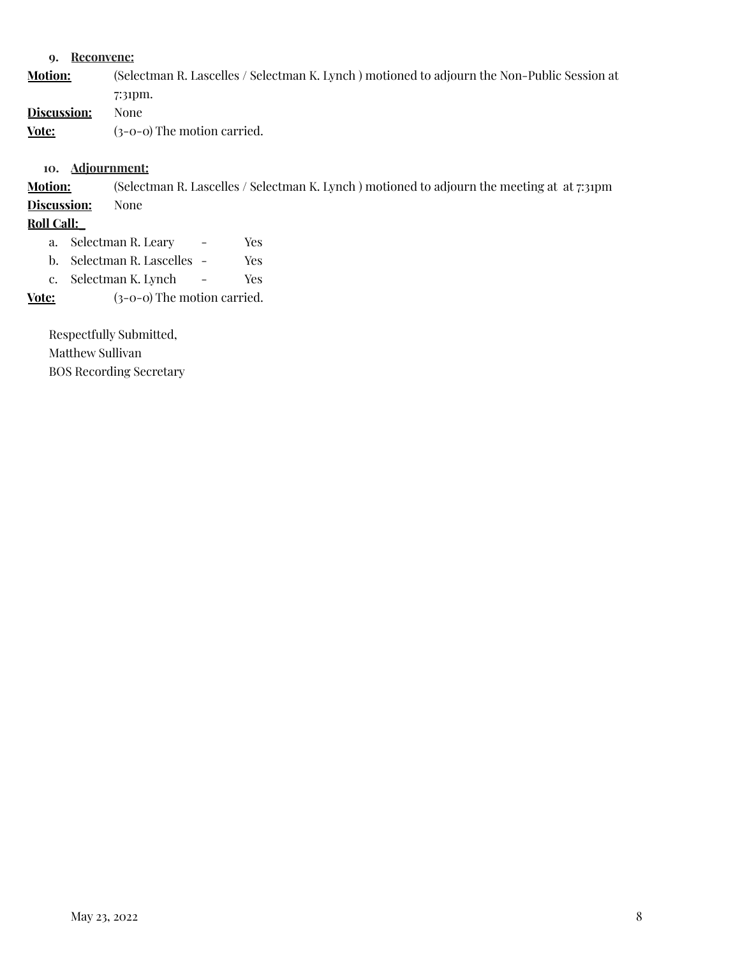#### **9. Reconvene:**

**Motion:** (Selectman R. Lascelles / Selectman K. Lynch ) motioned to adjourn the Non-Public Session at 7:31pm. **Discussion:** None **Vote:** (3-0-0) The motion carried.

**10. Adjournment:**

**Motion:** (Selectman R. Lascelles / Selectman K. Lynch ) motioned to adjourn the meeting at at 7:31pm **Discussion:** None

#### **Roll Call:\_**

a. Selectman R. Leary - Yes

b. Selectman R. Lascelles - Yes

c. Selectman K. Lynch - Yes

**Vote:** (3-0-0) The motion carried.

Respectfully Submitted, Matthew Sullivan BOS Recording Secretary